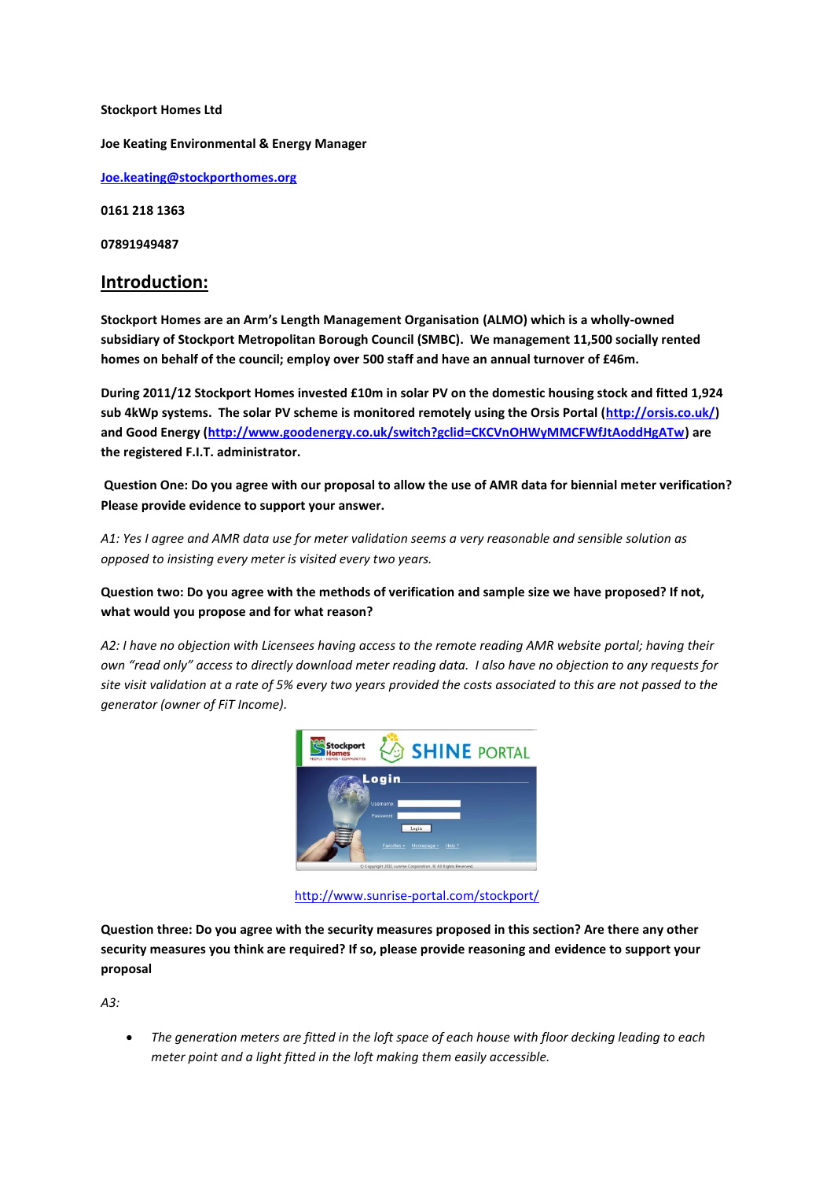**Stockport Homes Ltd Joe Keating Environmental & Energy Manager [Joe.keating@stockporthomes.org](mailto:Joe.keating@stockporthomes.org) 0161 218 1363 07891949487**

# **Introduction:**

**Stockport Homes are an Arm's Length Management Organisation (ALMO) which is a wholly-owned subsidiary of Stockport Metropolitan Borough Council (SMBC). We management 11,500 socially rented homes on behalf of the council; employ over 500 staff and have an annual turnover of £46m.**

**During 2011/12 Stockport Homes invested £10m in solar PV on the domestic housing stock and fitted 1,924 sub 4kWp systems. The solar PV scheme is monitored remotely using the Orsis Portal [\(http://orsis.co.uk/\)](http://orsis.co.uk/) and Good Energy [\(http://www.goodenergy.co.uk/switch?gclid=CKCVnOHWyMMCFWfJtAoddHgATw\)](http://www.goodenergy.co.uk/switch?gclid=CKCVnOHWyMMCFWfJtAoddHgATw) are the registered F.I.T. administrator.**

**Question One: Do you agree with our proposal to allow the use of AMR data for biennial meter verification? Please provide evidence to support your answer.**

*A1: Yes I agree and AMR data use for meter validation seems a very reasonable and sensible solution as opposed to insisting every meter is visited every two years.* 

**Question two: Do you agree with the methods of verification and sample size we have proposed? If not, what would you propose and for what reason?**

*A2: I have no objection with Licensees having access to the remote reading AMR website portal; having their own "read only" access to directly download meter reading data. I also have no objection to any requests for site visit validation at a rate of 5% every two years provided the costs associated to this are not passed to the generator (owner of FiT Income).* 



<http://www.sunrise-portal.com/stockport/>

**Question three: Do you agree with the security measures proposed in this section? Are there any other security measures you think are required? If so, please provide reasoning and evidence to support your proposal**

*A3:* 

 *The generation meters are fitted in the loft space of each house with floor decking leading to each meter point and a light fitted in the loft making them easily accessible.*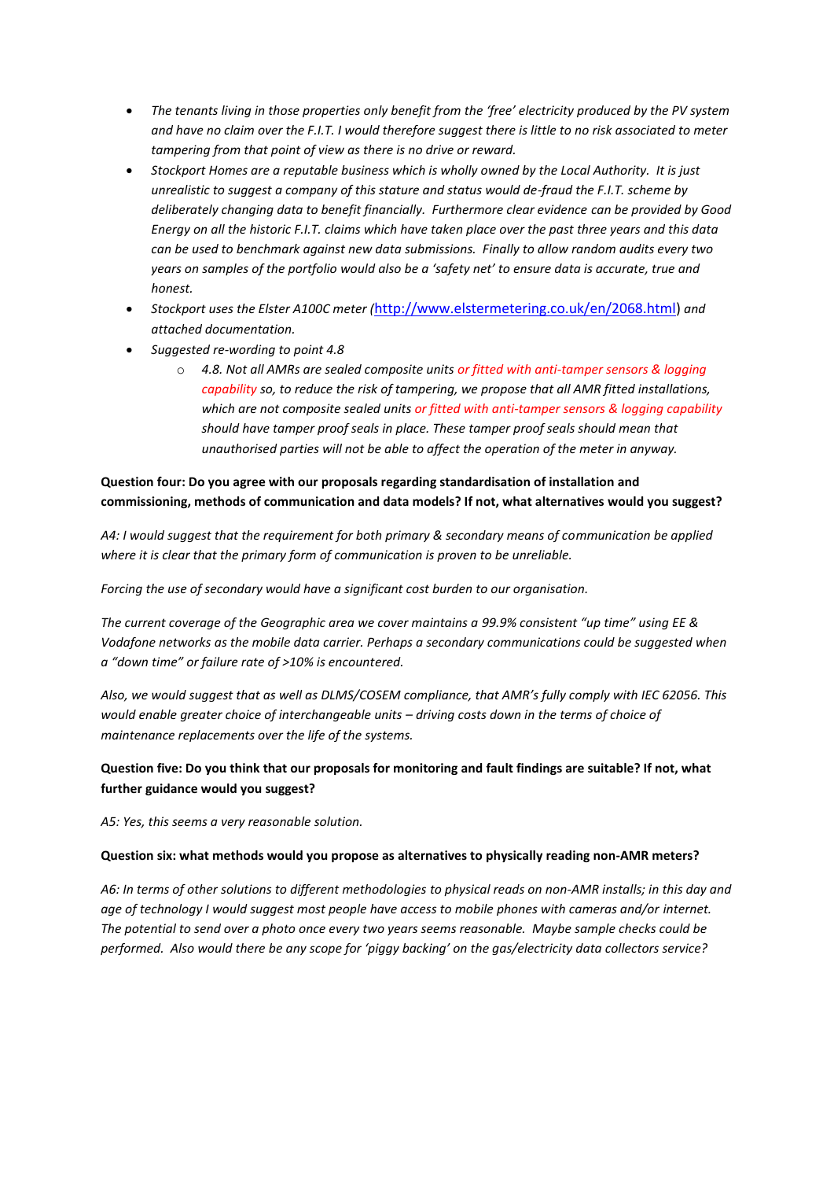- *The tenants living in those properties only benefit from the 'free' electricity produced by the PV system and have no claim over the F.I.T. I would therefore suggest there is little to no risk associated to meter tampering from that point of view as there is no drive or reward.*
- *Stockport Homes are a reputable business which is wholly owned by the Local Authority. It is just unrealistic to suggest a company of this stature and status would de-fraud the F.I.T. scheme by deliberately changing data to benefit financially. Furthermore clear evidence can be provided by Good Energy on all the historic F.I.T. claims which have taken place over the past three years and this data can be used to benchmark against new data submissions. Finally to allow random audits every two years on samples of the portfolio would also be a 'safety net' to ensure data is accurate, true and honest.*
- *Stockport uses the Elster A100C meter (*[http://www.elstermetering.co.uk/en/2068.html\)](http://www.elstermetering.co.uk/en/2068.html) *and attached documentation.*
- *Suggested re-wording to point 4.8*
	- o *4.8. Not all AMRs are sealed composite units or fitted with anti-tamper sensors & logging capability so, to reduce the risk of tampering, we propose that all AMR fitted installations, which are not composite sealed units or fitted with anti-tamper sensors & logging capability should have tamper proof seals in place. These tamper proof seals should mean that unauthorised parties will not be able to affect the operation of the meter in anyway.*

## **Question four: Do you agree with our proposals regarding standardisation of installation and commissioning, methods of communication and data models? If not, what alternatives would you suggest?**

*A4: I would suggest that the requirement for both primary & secondary means of communication be applied where it is clear that the primary form of communication is proven to be unreliable.*

*Forcing the use of secondary would have a significant cost burden to our organisation.*

*The current coverage of the Geographic area we cover maintains a 99.9% consistent "up time" using EE & Vodafone networks as the mobile data carrier. Perhaps a secondary communications could be suggested when a "down time" or failure rate of >10% is encountered.*

*Also, we would suggest that as well as DLMS/COSEM compliance, that AMR's fully comply with IEC 62056. This would enable greater choice of interchangeable units – driving costs down in the terms of choice of maintenance replacements over the life of the systems.*

## **Question five: Do you think that our proposals for monitoring and fault findings are suitable? If not, what further guidance would you suggest?**

*A5: Yes, this seems a very reasonable solution.* 

## **Question six: what methods would you propose as alternatives to physically reading non-AMR meters?**

*A6: In terms of other solutions to different methodologies to physical reads on non-AMR installs; in this day and age of technology I would suggest most people have access to mobile phones with cameras and/or internet. The potential to send over a photo once every two years seems reasonable. Maybe sample checks could be performed. Also would there be any scope for 'piggy backing' on the gas/electricity data collectors service?*